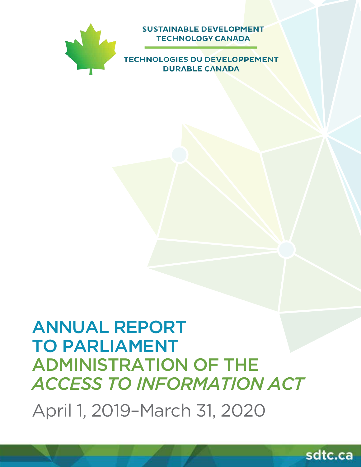

**SUSTAINABLE DEVELOPMENT TECHNOLOGY CANADA** 

**TECHNOLOGIES DU DEVELOPPEMENT DURABLE CANADA** 

# ANNUAL REPORT TO PARLIAMENT ADMINISTRATION OF THE *ACCESS TO INFORMATION ACT*

April 1, 2019–March 31, 2020

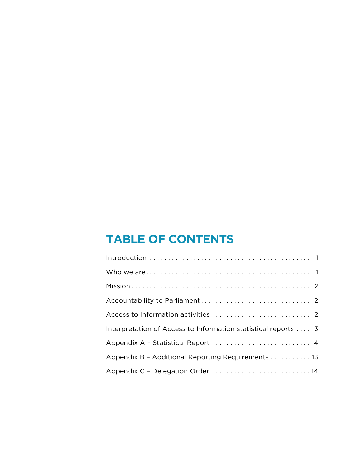## **TABLE OF CONTENTS**

| Interpretation of Access to Information statistical reports 3 |
|---------------------------------------------------------------|
|                                                               |
| Appendix B - Additional Reporting Requirements 13             |
| Appendix C - Delegation Order  14                             |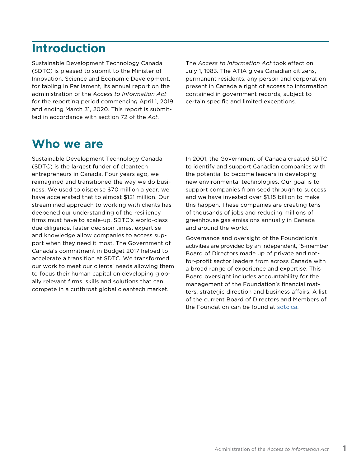## <span id="page-2-0"></span>**Introduction**

Sustainable Development Technology Canada (SDTC) is pleased to submit to the Minister of Innovation, Science and Economic Development, for tabling in Parliament, its annual report on the administration of the *Access to Information Act* for the reporting period commencing April 1, 2019 and ending March 31, 2020. This report is submitted in accordance with section 72 of the *Act*.

The *Access to Information Act* took effect on July 1, 1983. The ATIA gives Canadian citizens, permanent residents, any person and corporation present in Canada a right of access to information contained in government records, subject to certain specific and limited exceptions.

## **Who we are**

Sustainable Development Technology Canada (SDTC) is the largest funder of cleantech entrepreneurs in Canada. Four years ago, we reimagined and transitioned the way we do business. We used to disperse \$70 million a year, we have accelerated that to almost \$121 million. Our streamlined approach to working with clients has deepened our understanding of the resiliency firms must have to scale-up. SDTC's world-class due diligence, faster decision times, expertise and knowledge allow companies to access support when they need it most. The Government of Canada's commitment in Budget 2017 helped to accelerate a transition at SDTC. We transformed our work to meet our clients' needs allowing them to focus their human capital on developing globally relevant firms, skills and solutions that can compete in a cutthroat global cleantech market.

In 2001, the Government of Canada created SDTC to identify and support Canadian companies with the potential to become leaders in developing new environmental technologies. Our goal is to support companies from seed through to success and we have invested over \$1.15 billion to make this happen. These companies are creating tens of thousands of jobs and reducing millions of greenhouse gas emissions annually in Canada and around the world.

Governance and oversight of the Foundation's activities are provided by an independent, 15-member Board of Directors made up of private and notfor-profit sector leaders from across Canada with a broad range of experience and expertise. This Board oversight includes accountability for the management of the Foundation's financial matters, strategic direction and business affairs. A list of the current Board of Directors and Members of the Foundation can be found at [sdtc.ca](http://sdtc.ca).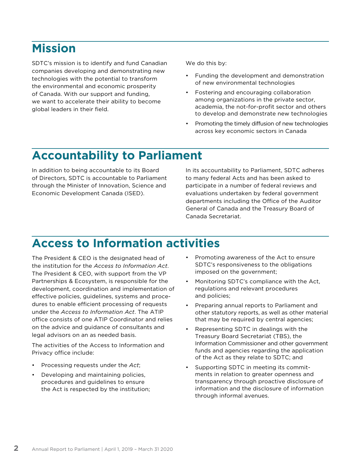## <span id="page-3-0"></span>**Mission**

SDTC's mission is to identify and fund Canadian companies developing and demonstrating new technologies with the potential to transform the environmental and economic prosperity of Canada. With our support and funding, we want to accelerate their ability to become global leaders in their field.

We do this by:

- Funding the development and demonstration of new environmental technologies
- Fostering and encouraging collaboration among organizations in the private sector, academia, the not-for-profit sector and others to develop and demonstrate new technologies
- Promoting the timely diffusion of new technologies across key economic sectors in Canada

## **Accountability to Parliament**

In addition to being accountable to its Board of Directors, SDTC is accountable to Parliament through the Minister of Innovation, Science and Economic Development Canada (ISED).

In its accountability to Parliament, SDTC adheres to many federal Acts and has been asked to participate in a number of federal reviews and evaluations undertaken by federal government departments including the Office of the Auditor General of Canada and the Treasury Board of Canada Secretariat.

## **Access to Information activities**

The President & CEO is the designated head of the institution for the *Access to Information Act*. The President & CEO, with support from the VP Partnerships & Ecosystem, is responsible for the development, coordination and implementation of effective policies, guidelines, systems and procedures to enable efficient processing of requests under the *Access to Information Act*. The ATIP office consists of one ATIP Coordinator and relies on the advice and guidance of consultants and legal advisors on an as needed basis.

The activities of the Access to Information and Privacy office include:

- Processing requests under the *Act*;
- Developing and maintaining policies, procedures and guidelines to ensure the Act is respected by the institution;
- Promoting awareness of the Act to ensure SDTC's responsiveness to the obligations imposed on the government;
- Monitoring SDTC's compliance with the Act, regulations and relevant procedures and policies;
- Preparing annual reports to Parliament and other statutory reports, as well as other material that may be required by central agencies;
- Representing SDTC in dealings with the Treasury Board Secretariat (TBS), the Information Commissioner and other government funds and agencies regarding the application of the Act as they relate to SDTC; and
- Supporting SDTC in meeting its commitments in relation to greater openness and transparency through proactive disclosure of information and the disclosure of information through informal avenues.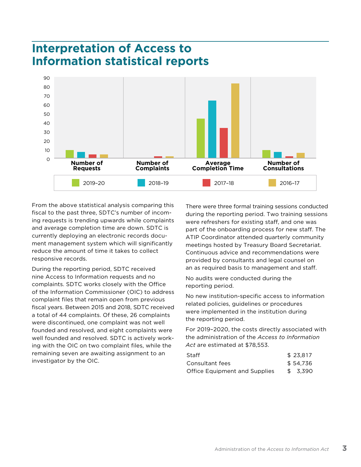## <span id="page-4-0"></span>**Interpretation of Access to Information statistical reports**



From the above statistical analysis comparing this fiscal to the past three, SDTC's number of incoming requests is trending upwards while complaints and average completion time are down. SDTC is currently deploying an electronic records document management system which will significantly reduce the amount of time it takes to collect responsive records.

During the reporting period, SDTC received nine Access to Information requests and no complaints. SDTC works closely with the Office of the Information Commissioner (OIC) to address complaint files that remain open from previous fiscal years. Between 2015 and 2018, SDTC received a total of 44 complaints. Of these, 26 complaints were discontinued, one complaint was not well founded and resolved, and eight complaints were well founded and resolved. SDTC is actively working with the OIC on two complaint files, while the remaining seven are awaiting assignment to an investigator by the OIC.

There were three formal training sessions conducted during the reporting period. Two training sessions were refreshers for existing staff, and one was part of the onboarding process for new staff. The ATIP Coordinator attended quarterly community meetings hosted by Treasury Board Secretariat. Continuous advice and recommendations were provided by consultants and legal counsel on an as required basis to management and staff.

No audits were conducted during the reporting period.

No new institution-specific access to information related policies, guidelines or procedures were implemented in the institution during the reporting period.

For 2019–2020, the costs directly associated with the administration of the *Access to Information Act* are estimated at \$78,553.

| Staff                                | \$23.817 |
|--------------------------------------|----------|
| Consultant fees                      | \$54.736 |
| <b>Office Equipment and Supplies</b> | \$3.390  |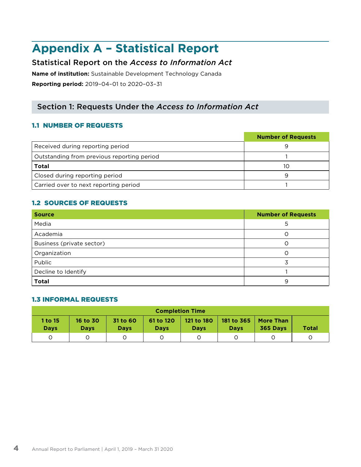## <span id="page-5-0"></span>**Appendix A – Statistical Report**

## Statistical Report on the *Access to Information Act*

**Name of institution:** Sustainable Development Technology Canada **Reporting period:** 2019–04–01 to 2020–03–31

## Section 1: Requests Under the *Access to Information Act*

## 1.1 NUMBER OF REQUESTS

|                                            | <b>Number of Requests</b> |
|--------------------------------------------|---------------------------|
| Received during reporting period           |                           |
| Outstanding from previous reporting period |                           |
| <b>Total</b>                               | 10                        |
| Closed during reporting period             | q                         |
| Carried over to next reporting period      |                           |

## 1.2 SOURCES OF REQUESTS

| <b>Source</b>             | <b>Number of Requests</b> |
|---------------------------|---------------------------|
| Media                     | 5                         |
| Academia                  |                           |
| Business (private sector) |                           |
| Organization              |                           |
| Public                    |                           |
| Decline to Identify       |                           |
| <b>Total</b>              | 9                         |

## 1.3 INFORMAL REQUESTS

| <b>Completion Time</b> |                         |                         |                          |                           |                           |                              |              |  |  |
|------------------------|-------------------------|-------------------------|--------------------------|---------------------------|---------------------------|------------------------------|--------------|--|--|
| 1 to 15<br><b>Days</b> | 16 to 30<br><b>Days</b> | 31 to 60<br><b>Days</b> | 61 to 120<br><b>Davs</b> | 121 to 180<br><b>Days</b> | 181 to 365<br><b>Days</b> | <b>More Than</b><br>365 Days | <b>Total</b> |  |  |
|                        |                         |                         |                          |                           |                           |                              |              |  |  |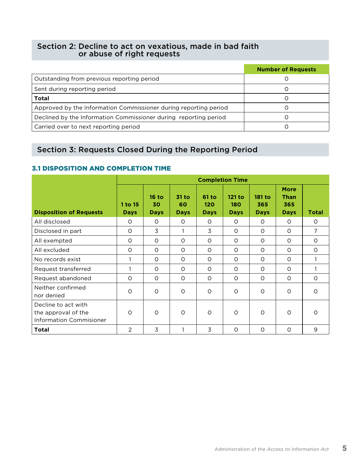## Section 2: Decline to act on vexatious, made in bad faith or abuse of right requests

|                                                                  | <b>Number of Requests</b> |
|------------------------------------------------------------------|---------------------------|
| Outstanding from previous reporting period                       |                           |
| Sent during reporting period                                     |                           |
| <b>Total</b>                                                     |                           |
| Approved by the Information Commissioner during reporting period |                           |
| Declined by the Information Commissioner during reporting period |                           |
| Carried over to next reporting period                            |                           |

## Section 3: Requests Closed During the Reporting Period

## 3.1 DISPOSITION AND COMPLETION TIME

|                                                                              | <b>Completion Time</b> |                              |                              |                             |                              |                                     |                                                  |                |  |  |
|------------------------------------------------------------------------------|------------------------|------------------------------|------------------------------|-----------------------------|------------------------------|-------------------------------------|--------------------------------------------------|----------------|--|--|
| <b>Disposition of Requests</b>                                               | 1 to 15<br><b>Days</b> | $16$ to<br>30<br><b>Days</b> | $31$ to<br>60<br><b>Days</b> | 61 to<br>120<br><b>Days</b> | 121 to<br>180<br><b>Days</b> | <b>181 to</b><br>365<br><b>Days</b> | <b>More</b><br><b>Than</b><br>365<br><b>Days</b> | Total          |  |  |
| All disclosed                                                                | $\circ$                | $\circ$                      | $\circ$                      | $\circ$                     | $\circ$                      | $\circ$                             | $\circ$                                          | $\circ$        |  |  |
| Disclosed in part                                                            | $\circ$                | 3                            | 1                            | 3                           | $\circ$                      | $\circ$                             | $\circ$                                          | $\overline{7}$ |  |  |
| All exempted                                                                 | $\circ$                | $\circ$                      | $\circ$                      | $\circ$                     | $\circ$                      | $\circ$                             | $\circ$                                          | $\circ$        |  |  |
| All excluded                                                                 | $\circ$                | $\circ$                      | $\circ$                      | $\circ$                     | $\Omega$                     | $\circ$                             | $\circ$                                          | $\circ$        |  |  |
| No records exist                                                             |                        | $\circ$                      | $\circ$                      | $\circ$                     | $\circ$                      | $\circ$                             | $\circ$                                          | 1              |  |  |
| Request transferred                                                          |                        | $\circ$                      | $\circ$                      | $\circ$                     | $\circ$                      | $\circ$                             | $\circ$                                          |                |  |  |
| Request abandoned                                                            | $\Omega$               | $\circ$                      | $\circ$                      | $\circ$                     | $\Omega$                     | $\circ$                             | $\circ$                                          | $\Omega$       |  |  |
| Neither confirmed<br>nor denied                                              | $\circ$                | $\circ$                      | $\circ$                      | $\circ$                     | $\circ$                      | $\circ$                             | $\circ$                                          | $\Omega$       |  |  |
| Decline to act with<br>the approval of the<br><b>Information Commisioner</b> | $\Omega$               | $\Omega$                     | $\circ$                      | $\circ$                     | $\Omega$                     | $\circ$                             | $\circ$                                          | $\Omega$       |  |  |
| <b>Total</b>                                                                 | 2                      | 3                            |                              | 3                           | $\circ$                      | $\circ$                             | O                                                | 9              |  |  |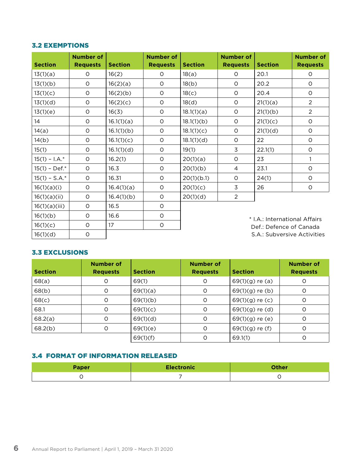#### 3.2 EXEMPTIONS

| <b>Section</b>   | <b>Number of</b><br><b>Requests</b> | <b>Section</b> | <b>Number of</b><br><b>Requests</b> | <b>Section</b> | <b>Number of</b><br><b>Requests</b> | <b>Section</b>                | <b>Number of</b><br><b>Requests</b> |
|------------------|-------------------------------------|----------------|-------------------------------------|----------------|-------------------------------------|-------------------------------|-------------------------------------|
| 13(1)(a)         | O                                   | 16(2)          | O                                   | 18(a)          | $\circ$                             | 20.1                          | O                                   |
| 13(1)(b)         | O                                   | 16(2)(a)       | $\circ$                             | 18(b)          | O                                   | 20.2                          | O                                   |
| 13(1)(c)         | O                                   | 16(2)(b)       | $\circ$                             | 18(c)          | O                                   | 20.4                          | $\circ$                             |
| 13(1)(d)         | $\circ$                             | 16(2)(c)       | $\circ$                             | 18(d)          | O                                   | 21(1)(a)                      | $\overline{2}$                      |
| 13(1)(e)         | $\circ$                             | 16(3)          | $\circ$                             | 18.1(1)(a)     | $\Omega$                            | 21(1)(b)                      | $\overline{2}$                      |
| 14               | O                                   | 16.1(1)(a)     | O                                   | 18.1(1)(b)     | O                                   | 21(1)(c)                      | $\circ$                             |
| 14(a)            | O                                   | 16.1(1)(b)     | $\circ$                             | 18.1(1)(c)     | $\circ$                             | 21(1)(d)                      | $\circ$                             |
| 14(b)            | $\circ$                             | 16.1(1)(c)     | $\circ$                             | 18.1(1)(d)     | O                                   | 22                            | $\circ$                             |
| 15(1)            | $\mathsf O$                         | 16.1(1)(d)     | $\circ$                             | 19(1)          | 3                                   | 22.1(1)                       | $\circ$                             |
| $15(1) - 1.A.^*$ | O                                   | 16.2(1)        | $\circ$                             | 20(1)(a)       | O                                   | 23                            | $\mathbf{1}$                        |
| $15(1) - Def.*$  | O                                   | 16.3           | $\circ$                             | 20(1)(b)       | $\overline{4}$                      | 23.1                          | $\circ$                             |
| $15(1) - S.A.*$  | $\circ$                             | 16.31          | $\circ$                             | 20(1)(b.1)     | O                                   | 24(1)                         | O                                   |
| 16(1)(a)(i)      | $\circ$                             | 16.4(1)(a)     | $\circ$                             | 20(1)(c)       | $\overline{3}$                      | 26                            | O                                   |
| 16(1)(a)(ii)     | $\circ$                             | 16.4(1)(b)     | $\circ$                             | 20(1)(d)       | $\overline{2}$                      |                               |                                     |
| 16(1)(a)(iii)    | $\circ$                             | 16.5           | $\circ$                             |                |                                     |                               |                                     |
| 16(1)(b)         | $\circ$                             | 16.6           | $\circ$                             |                |                                     | * I.A.: International Affairs |                                     |
| 16(1)(c)         | $\circ$                             | 17             | $\circ$                             |                |                                     | Def.: Defence of Canada       |                                     |
| 16(1)(d)         | $\mathsf O$                         |                |                                     |                |                                     | S.A.: Subversive Activities   |                                     |

### 3.3 EXCLUSIONS

| <b>Section</b> | Number of<br><b>Requests</b> | <b>Section</b> | <b>Number of</b><br><b>Requests</b> | <b>Section</b>    | <b>Number of</b><br><b>Requests</b> |
|----------------|------------------------------|----------------|-------------------------------------|-------------------|-------------------------------------|
| 68(a)          | O                            | 69(1)          | O                                   | $69(1)(g)$ re (a) | O                                   |
| 68(b)          | 0                            | 69(1)(a)       | 0                                   | $69(1)(g)$ re (b) | O                                   |
| 68(c)          | O                            | 69(1)(b)       | 0                                   | $69(1)(g)$ re (c) | O                                   |
| 68.1           | $\circ$                      | 69(1)(c)       | $\Omega$                            | 69(1)(g) re (d)   | O                                   |
| 68.2(a)        | O                            | 69(1)(d)       | $\circ$                             | $69(1)(g)$ re (e) | O                                   |
| 68.2(b)        | O                            | 69(1)(e)       | O                                   | 69(1)(g) re (f)   | O                                   |
|                |                              | 69(1)(f)       | Ω                                   | 69.1(1)           | Ω                                   |

## 3.4 FORMAT OF INFORMATION RELEASED

| <b>Paper</b> | <b>Electronic</b> | Other |
|--------------|-------------------|-------|
|              |                   |       |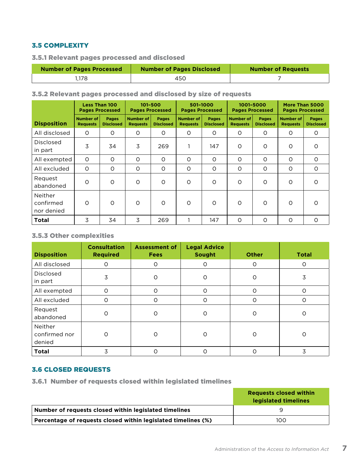## 3.5 COMPLEXITY

3.5.1 Relevant pages processed and disclosed

| <b>Number of Pages Processed</b> | <b>Number of Pages Disclosed</b> | <b>Number of Requests</b> |
|----------------------------------|----------------------------------|---------------------------|
| i.178                            | 450                              |                           |

#### 3.5.2 Relevant pages processed and disclosed by size of requests

|                                    | <b>Less Than 100</b><br><b>Pages Processed</b> |                                  | 101-500<br><b>Pages Processed</b>   |                                  | 501-1000<br><b>Pages Processed</b>  |                                  | 1001-5000<br><b>Pages Processed</b> |                           | More Than 5000<br><b>Pages Processed</b> |                                  |
|------------------------------------|------------------------------------------------|----------------------------------|-------------------------------------|----------------------------------|-------------------------------------|----------------------------------|-------------------------------------|---------------------------|------------------------------------------|----------------------------------|
| <b>Disposition</b>                 | <b>Number of</b><br><b>Requests</b>            | <b>Pages</b><br><b>Disclosed</b> | <b>Number of</b><br><b>Requests</b> | <b>Pages</b><br><b>Disclosed</b> | <b>Number of</b><br><b>Requests</b> | <b>Pages</b><br><b>Disclosed</b> | <b>Number of</b><br><b>Requests</b> | Pages<br><b>Disclosed</b> | <b>Number of</b><br><b>Requests</b>      | <b>Pages</b><br><b>Disclosed</b> |
| All disclosed                      | $\circ$                                        | $\circ$                          | $\circ$                             | $\circ$                          | $\circ$                             | $\circ$                          | O                                   | $\circ$                   | $\circ$                                  | $\circ$                          |
| <b>Disclosed</b><br>in part        | 3                                              | 34                               | 3                                   | 269                              |                                     | 147                              | $\circ$                             | $\circ$                   | $\circ$                                  | $\Omega$                         |
| All exempted                       | $\Omega$                                       | $\circ$                          | $\circ$                             | $\circ$                          | $\circ$                             | $\circ$                          | O                                   | $\circ$                   | $\circ$                                  | $\circ$                          |
| All excluded                       | $\Omega$                                       | $\circ$                          | $\circ$                             | $\circ$                          | $\circ$                             | $\circ$                          | $\circ$                             | $\circ$                   | $\circ$                                  | $\circ$                          |
| Request<br>abandoned               | $\circ$                                        | O                                | O                                   | $\circ$                          | $\circ$                             | $\circ$                          | O                                   | $\circ$                   | $\circ$                                  | $\circ$                          |
| Neither<br>confirmed<br>nor denied | $\Omega$                                       | $\circ$                          | $\circ$                             | $\Omega$                         | $\Omega$                            | $\Omega$                         | $\circ$                             | $\Omega$                  | $\Omega$                                 | $\Omega$                         |
| Total                              | 3                                              | 34                               | 3                                   | 269                              |                                     | 147                              | $\circ$                             | $\circ$                   | $\circ$                                  | $\circ$                          |

## 3.5.3 Other complexities

| <b>Disposition</b>                 | <b>Consultation</b><br><b>Required</b> | <b>Assessment of</b><br><b>Fees</b> | <b>Legal Advice</b><br><b>Sought</b> | <b>Other</b> | <b>Total</b>   |
|------------------------------------|----------------------------------------|-------------------------------------|--------------------------------------|--------------|----------------|
| All disclosed                      | O                                      | O                                   | O                                    | 0            | O              |
| Disclosed<br>in part               | 3                                      | $\circ$                             | O                                    | 0            | $\overline{3}$ |
| All exempted                       | $\circ$                                | $\circ$                             | $\circ$                              | $\circ$      | $\circ$        |
| All excluded                       | $\circ$                                | O                                   | $\Omega$                             | O            | $\Omega$       |
| Request<br>abandoned               | O                                      | O                                   | O                                    | 0            | 0              |
| Neither<br>confirmed nor<br>denied | $\circ$                                | Ω                                   | $\Omega$                             | O            | O              |
| <b>Total</b>                       | 3                                      | ∩                                   | ი                                    | $\Omega$     | 3              |

#### 3.6 CLOSED REQUESTS

3.6.1 Number of requests closed within legislated timelines

|                                                               | <b>Requests closed within</b><br>legislated timelines |
|---------------------------------------------------------------|-------------------------------------------------------|
| Number of requests closed within legislated timelines         |                                                       |
| Percentage of requests closed within legislated timelines (%) | 100                                                   |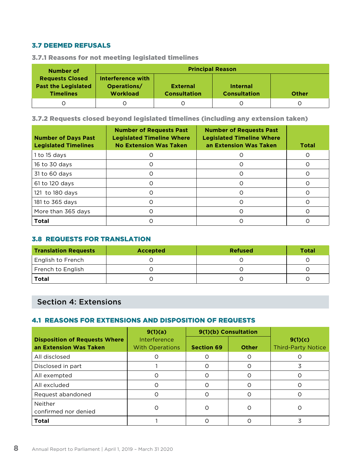### 3.7 DEEMED REFUSALS

| Number of                                                                | <b>Principal Reason</b>                             |                                        |                                        |       |  |  |  |  |
|--------------------------------------------------------------------------|-----------------------------------------------------|----------------------------------------|----------------------------------------|-------|--|--|--|--|
| <b>Requests Closed</b><br><b>Past the Legislated</b><br><b>Timelines</b> | Interference with<br>Operations/<br><b>Workload</b> | <b>External</b><br><b>Consultation</b> | <b>Internal</b><br><b>Consultation</b> | Other |  |  |  |  |
|                                                                          |                                                     |                                        |                                        |       |  |  |  |  |

3.7.1 Reasons for not meeting legislated timelines

3.7.2 Requests closed beyond legislated timelines (including any extension taken)

| <b>Number of Days Past</b><br><b>Legislated Timelines</b> | <b>Number of Requests Past</b><br><b>Legislated Timeline Where</b><br><b>No Extension Was Taken</b> | <b>Number of Requests Past</b><br><b>Legislated Timeline Where</b><br>an Extension Was Taken | <b>Total</b> |
|-----------------------------------------------------------|-----------------------------------------------------------------------------------------------------|----------------------------------------------------------------------------------------------|--------------|
| 1 to 15 days                                              |                                                                                                     | Ω                                                                                            |              |
| 16 to 30 days                                             |                                                                                                     |                                                                                              |              |
| 31 to 60 days                                             |                                                                                                     | Ω                                                                                            |              |
| 61 to 120 days                                            |                                                                                                     | O                                                                                            |              |
| 121 to 180 days                                           |                                                                                                     | Ω                                                                                            |              |
| 181 to 365 days                                           |                                                                                                     | O                                                                                            |              |
| More than 365 days                                        |                                                                                                     | Ω                                                                                            |              |
| <b>Total</b>                                              |                                                                                                     |                                                                                              |              |

### 3.8 REQUESTS FOR TRANSLATION

| <b>Translation Requests</b> | <b>Accepted</b> | <b>Refused</b> | <b>Total</b> |
|-----------------------------|-----------------|----------------|--------------|
| <b>English to French</b>    |                 |                |              |
| French to English           |                 |                |              |
| <b>Total</b>                |                 |                |              |

## Section 4: Extensions

### 4.1 REASONS FOR EXTENSIONS AND DISPOSITION OF REQUESTS

|                                                                | 9(1)(a)                                |                   | 9(1)(b) Consultation |                                      |
|----------------------------------------------------------------|----------------------------------------|-------------------|----------------------|--------------------------------------|
| <b>Disposition of Requests Where</b><br>an Extension Was Taken | Interference<br><b>With Operations</b> | <b>Section 69</b> | Other                | 9(1)(c)<br><b>Third-Party Notice</b> |
| All disclosed                                                  |                                        |                   | Ω                    |                                      |
| Disclosed in part                                              |                                        |                   | Ω                    | 3                                    |
| All exempted                                                   |                                        |                   | O                    |                                      |
| All excluded                                                   |                                        |                   | ∩                    |                                      |
| Request abandoned                                              |                                        |                   | ∩                    |                                      |
| Neither<br>confirmed nor denied                                |                                        | O                 | Ω                    |                                      |
| <b>Total</b>                                                   |                                        |                   |                      |                                      |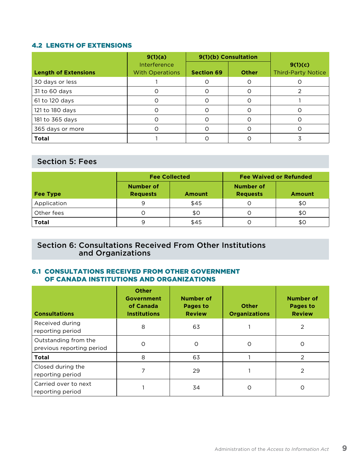### 4.2 LENGTH OF EXTENSIONS

|                             | 9(1)(a)                                |                   | 9(1)(b) Consultation |                                      |
|-----------------------------|----------------------------------------|-------------------|----------------------|--------------------------------------|
| <b>Length of Extensions</b> | Interference<br><b>With Operations</b> | <b>Section 69</b> | <b>Other</b>         | 9(1)(c)<br><b>Third-Party Notice</b> |
| 30 days or less             |                                        |                   | O                    |                                      |
| 31 to 60 days               |                                        |                   | O                    |                                      |
| 61 to 120 days              |                                        |                   | Ω                    |                                      |
| 121 to 180 days             |                                        |                   | Ω                    |                                      |
| 181 to 365 days             |                                        |                   | $\Omega$             |                                      |
| 365 days or more            |                                        |                   | ∩                    |                                      |
| <b>Total</b>                |                                        |                   |                      |                                      |

## Section 5: Fees

|              |                                     | <b>Fee Collected</b> | <b>Fee Waived or Refunded</b>       |               |  |  |
|--------------|-------------------------------------|----------------------|-------------------------------------|---------------|--|--|
| Fee Type     | <b>Number of</b><br><b>Requests</b> | <b>Amount</b>        | <b>Number of</b><br><b>Requests</b> | <b>Amount</b> |  |  |
| Application  | 9                                   | \$45                 |                                     | \$0           |  |  |
| Other fees   |                                     | \$0                  | C                                   | \$0           |  |  |
| <b>Total</b> | 9                                   | \$45                 |                                     | \$0           |  |  |

## Section 6: Consultations Received From Other Institutions and Organizations

### 6.1 CONSULTATIONS RECEIVED FROM OTHER GOVERNMENT OF CANADA INSTITUTIONS AND ORGANIZATIONS

| <b>Consultations</b>                              | <b>Other</b><br><b>Government</b><br>of Canada<br><b>Institutions</b> | <b>Number of</b><br><b>Pages to</b><br><b>Review</b> | <b>Other</b><br><b>Organizations</b> | <b>Number of</b><br><b>Pages to</b><br><b>Review</b> |
|---------------------------------------------------|-----------------------------------------------------------------------|------------------------------------------------------|--------------------------------------|------------------------------------------------------|
| Received during<br>reporting period               | 8                                                                     | 63                                                   |                                      | 2                                                    |
| Outstanding from the<br>previous reporting period | ი                                                                     | Ω                                                    | Ω                                    | Ο                                                    |
| <b>Total</b>                                      | 8                                                                     | 63                                                   |                                      | $\mathfrak{D}$                                       |
| Closed during the<br>reporting period             | ⇁                                                                     | 29                                                   |                                      | 2                                                    |
| Carried over to next<br>reporting period          |                                                                       | 34                                                   |                                      | Ő                                                    |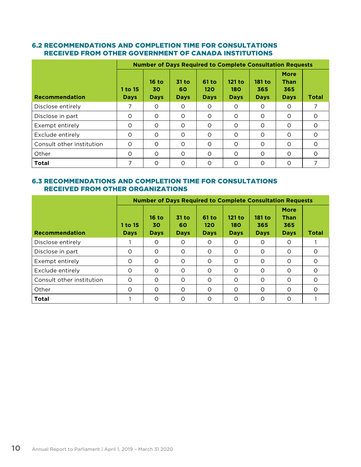### 6.2 RECOMMENDATIONS AND COMPLETION TIME FOR CONSULTATIONS RECEIVED FROM OTHER GOVERNMENT OF CANADA INSTITUTIONS

|                           |                        | <b>Number of Days Required to Complete Consultation Requests</b> |                            |                             |                                |                              |                                                  |          |  |
|---------------------------|------------------------|------------------------------------------------------------------|----------------------------|-----------------------------|--------------------------------|------------------------------|--------------------------------------------------|----------|--|
| <b>Recommendation</b>     | 1 to 15<br><b>Days</b> | $16$ to<br>30<br><b>Days</b>                                     | 31 to<br>60<br><b>Days</b> | 61 to<br>120<br><b>Days</b> | $121$ to<br>180<br><b>Days</b> | 181 to<br>365<br><b>Days</b> | <b>More</b><br><b>Than</b><br>365<br><b>Days</b> | Total    |  |
| Disclose entirely         | 7                      | $\Omega$                                                         | O                          | $\circ$                     | $\Omega$                       | 0                            | $\circ$                                          |          |  |
| Disclose in part          | O                      | $\Omega$                                                         | O                          | $\circ$                     | $\Omega$                       | O                            | O                                                | $\Omega$ |  |
| Exempt entirely           | $\circ$                | $\Omega$                                                         | O                          | $\circ$                     | $\Omega$                       | O                            | O                                                | $\circ$  |  |
| Exclude entirely          | $\circ$                | $\Omega$                                                         | O                          | $\circ$                     | $\Omega$                       | O                            | O                                                | $\Omega$ |  |
| Consult other institution | $\circ$                | $\Omega$                                                         | $\Omega$                   | $\Omega$                    | $\Omega$                       | $\Omega$                     | $\Omega$                                         | $\Omega$ |  |
| Other                     | $\circ$                | $\Omega$                                                         | O                          | $\circ$                     | $\circ$                        | O                            | O                                                | $\Omega$ |  |
| <b>Total</b>              | 7                      | $\Omega$                                                         | Ω                          | $\Omega$                    | $\Omega$                       | O                            | $\Omega$                                         |          |  |

### 6.3 RECOMMENDATIONS AND COMPLETION TIME FOR CONSULTATIONS RECEIVED FROM OTHER ORGANIZATIONS

|                           | <b>Number of Days Required to Complete Consultation Requests</b> |                              |                            |                             |                              |                                     |                                                  |              |
|---------------------------|------------------------------------------------------------------|------------------------------|----------------------------|-----------------------------|------------------------------|-------------------------------------|--------------------------------------------------|--------------|
| <b>Recommendation</b>     | 1 to 15<br>Days                                                  | $16$ to<br>30<br><b>Days</b> | 31 to<br>60<br><b>Days</b> | 61 to<br>120<br><b>Days</b> | 121 to<br>180<br><b>Days</b> | <b>181 to</b><br>365<br><b>Days</b> | <b>More</b><br><b>Than</b><br>365<br><b>Days</b> | <b>Total</b> |
| Disclose entirely         |                                                                  | $\Omega$                     | O                          | $\circ$                     | $\Omega$                     | O                                   | O                                                |              |
| Disclose in part          | $\circ$                                                          | O                            | O                          | $\circ$                     | $\Omega$                     | O                                   | $\circ$                                          | $\Omega$     |
| Exempt entirely           | $\circ$                                                          | $\Omega$                     | O                          | $\circ$                     | $\Omega$                     | O                                   | O                                                | $\Omega$     |
| Exclude entirely          | $\circ$                                                          | $\Omega$                     | O                          | $\circ$                     | $\Omega$                     | $\Omega$                            | $\Omega$                                         | $\Omega$     |
| Consult other institution | $\Omega$                                                         | $\Omega$                     | $\Omega$                   | $\Omega$                    | $\Omega$                     | $\Omega$                            | $\Omega$                                         | $\Omega$     |
| Other                     | $\circ$                                                          | $\circ$                      | O                          | $\circ$                     | $\Omega$                     | O                                   | $\circ$                                          | $\Omega$     |
| <b>Total</b>              |                                                                  | $\Omega$                     | $\Omega$                   | O                           | $\Omega$                     | $\Omega$                            | O                                                |              |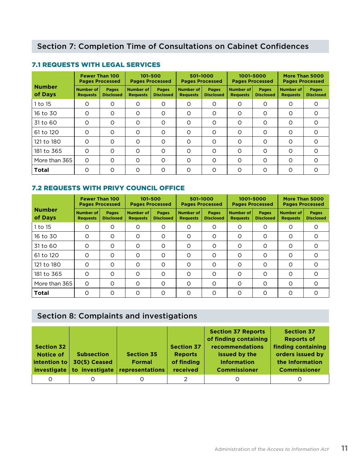|                          | <b>Fewer Than 100</b><br><b>Pages Processed</b> |                                  | 101-500<br><b>Pages Processed</b> |                           | 501-1000<br><b>Pages Processed</b>  |                                  | 1001-5000<br><b>Pages Processed</b> |                                  | More Than 5000<br><b>Pages Processed</b> |                                  |
|--------------------------|-------------------------------------------------|----------------------------------|-----------------------------------|---------------------------|-------------------------------------|----------------------------------|-------------------------------------|----------------------------------|------------------------------------------|----------------------------------|
| <b>Number</b><br>of Days | <b>Number of</b><br><b>Requests</b>             | <b>Pages</b><br><b>Disclosed</b> | Number of<br><b>Requests</b>      | Pages<br><b>Disclosed</b> | <b>Number of</b><br><b>Requests</b> | <b>Pages</b><br><b>Disclosed</b> | <b>Number of</b><br><b>Requests</b> | <b>Pages</b><br><b>Disclosed</b> | Number of<br><b>Requests</b>             | <b>Pages</b><br><b>Disclosed</b> |
| 1 to 15                  | 0                                               | O                                | $\circ$                           | O                         | $\circ$                             | $\circ$                          | O                                   | O                                | O                                        | $\circ$                          |
| 16 to 30                 | $\Omega$                                        | $\circ$                          | $\circ$                           | $\circ$                   | $\circ$                             | $\circ$                          | $\circ$                             | $\circ$                          | O                                        | $\circ$                          |
| 31 to 60                 | $\Omega$                                        | $\circ$                          | $\circ$                           | $\circ$                   | $\circ$                             | $\circ$                          | $\circ$                             | O                                | O                                        | $\circ$                          |
| 61 to 120                | $\Omega$                                        | $\Omega$                         | $\circ$                           | $\Omega$                  | $\circ$                             | $\Omega$                         | $\circ$                             | $\Omega$                         | Ω                                        | $\Omega$                         |
| 121 to 180               | $\Omega$                                        | $\circ$                          | $\circ$                           | $\Omega$                  | $\Omega$                            | $\circ$                          | O                                   | O                                | Ω                                        | $\circ$                          |
| 181 to 365               | $\Omega$                                        | $\circ$                          | $\circ$                           | $\circ$                   | $\circ$                             | $\circ$                          | $\circ$                             | $\circ$                          | O                                        | $\circ$                          |
| More than 365            | $\Omega$                                        | $\Omega$                         | $\Omega$                          | Ω                         | $\Omega$                            | $\Omega$                         | $\circ$                             | $\Omega$                         | $\Omega$                                 | $\Omega$                         |
| <b>Total</b>             | $\Omega$                                        | O                                | $\circ$                           | Ω                         | O                                   | $\Omega$                         | O                                   | O                                | Ω                                        | O                                |

## 7.1 REQUESTS WITH LEGAL SERVICES

## 7.2 REQUESTS WITH PRIVY COUNCIL OFFICE

|                          | <b>Fewer Than 100</b><br><b>Pages Processed</b> |                                  | 101-500<br><b>Pages Processed</b> |                                  | 501-1000<br><b>Pages Processed</b>  |                                  | 1001-5000<br><b>Pages Processed</b> |                                  | More Than 5000<br><b>Pages Processed</b> |                                  |
|--------------------------|-------------------------------------------------|----------------------------------|-----------------------------------|----------------------------------|-------------------------------------|----------------------------------|-------------------------------------|----------------------------------|------------------------------------------|----------------------------------|
| <b>Number</b><br>of Days | Number of<br><b>Requests</b>                    | <b>Pages</b><br><b>Disclosed</b> | Number of<br><b>Requests</b>      | <b>Pages</b><br><b>Disclosed</b> | <b>Number of</b><br><b>Requests</b> | <b>Pages</b><br><b>Disclosed</b> | <b>Number of</b><br><b>Requests</b> | <b>Pages</b><br><b>Disclosed</b> | <b>Number of</b><br><b>Requests</b>      | <b>Pages</b><br><b>Disclosed</b> |
| 1 to 15                  | O                                               | O                                | $\circ$                           | O                                | $\circ$                             | $\circ$                          | O                                   | O                                | O                                        | $\circ$                          |
| 16 to 30                 | $\Omega$                                        | O                                | $\circ$                           | O                                | O                                   | $\circ$                          | O                                   | O                                | $\Omega$                                 | $\Omega$                         |
| 31 to 60                 | $\Omega$                                        | O                                | O                                 | O                                | $\circ$                             | $\circ$                          | 0                                   | $\circ$                          | O                                        | $\circ$                          |
| 61 to 120                | $\Omega$                                        | O                                | $\circ$                           | $\Omega$                         | $\circ$                             | $\Omega$                         | O                                   | O                                | $\Omega$                                 | $\Omega$                         |
| 121 to 180               | $\Omega$                                        | O                                | $\circ$                           | $\Omega$                         | $\circ$                             | $\Omega$                         | 0                                   | O                                | $\Omega$                                 | $\Omega$                         |
| 181 to 365               | $\Omega$                                        | O                                | $\circ$                           | $\Omega$                         | $\Omega$                            | $\Omega$                         | O                                   | O                                | $\Omega$                                 | $\Omega$                         |
| More than 365            | $\Omega$                                        | O                                | $\circ$                           | $\circ$                          | $\Omega$                            | $\circ$                          | O                                   | O                                | $\Omega$                                 | $\Omega$                         |
| <b>Total</b>             | $\circ$                                         | O                                | $\circ$                           | O                                | $\circ$                             | $\circ$                          | O                                   | O                                | O                                        | $\Omega$                         |

## Section 8: Complaints and investigations

| <b>Section 32</b><br><b>Notice of</b><br>intention to | <b>Subsection</b><br>30(5) Ceased<br>investigate to investigate | <b>Section 35</b><br><b>Formal</b><br>representations | <b>Section 37</b><br><b>Reports</b><br>of finding<br>received | <b>Section 37 Reports</b><br>of finding containing<br><b>recommendations</b><br>issued by the<br><b>Information</b><br><b>Commissioner</b> | <b>Section 37</b><br><b>Reports of</b><br>finding containing<br>orders issued by<br>the Information<br><b>Commissioner</b> |
|-------------------------------------------------------|-----------------------------------------------------------------|-------------------------------------------------------|---------------------------------------------------------------|--------------------------------------------------------------------------------------------------------------------------------------------|----------------------------------------------------------------------------------------------------------------------------|
|                                                       |                                                                 |                                                       |                                                               |                                                                                                                                            |                                                                                                                            |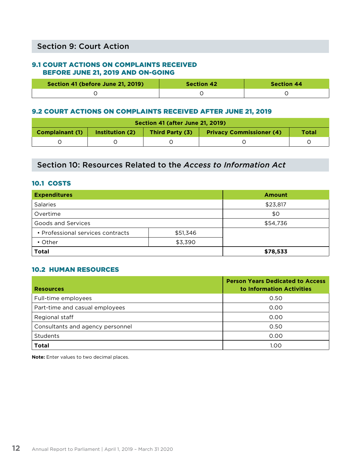## Section 9: Court Action

### 9.1 COURT ACTIONS ON COMPLAINTS RECEIVED BEFORE JUNE 21, 2019 AND ON-GOING

| Section 41 (before June 21, 2019) | <b>Section 42</b> | <b>Section 44</b> |
|-----------------------------------|-------------------|-------------------|
|                                   |                   |                   |

#### 9.2 COURT ACTIONS ON COMPLAINTS RECEIVED AFTER JUNE 21, 2019

| <b>Section 41 (after June 21, 2019)</b>                                                                         |  |  |  |  |  |
|-----------------------------------------------------------------------------------------------------------------|--|--|--|--|--|
| <b>Privacy Commissioner (4)</b><br><b>Complainant (1)</b><br>Institution (2)<br>Third Party (3)<br><b>Total</b> |  |  |  |  |  |
|                                                                                                                 |  |  |  |  |  |

## Section 10: Resources Related to the *Access to Information Act*

## 10.1 COSTS

| <b>Expenditures</b>               | <b>Amount</b> |
|-----------------------------------|---------------|
| <b>Salaries</b>                   | \$23,817      |
| Overtime                          | \$0           |
| Goods and Services                | \$54,736      |
| • Professional services contracts |               |
| $\cdot$ Other                     |               |
| <b>Total</b>                      | \$78,533      |

### 10.2 HUMAN RESOURCES

| <b>Resources</b>                 | <b>Person Years Dedicated to Access</b><br>to Information Activities |
|----------------------------------|----------------------------------------------------------------------|
| Full-time employees              | 0.50                                                                 |
| Part-time and casual employees   | 0.00                                                                 |
| Regional staff                   | 0.00                                                                 |
| Consultants and agency personnel | 0.50                                                                 |
| <b>Students</b>                  | 0.00                                                                 |
| <b>Total</b>                     | 1.00                                                                 |

**Note:** Enter values to two decimal places.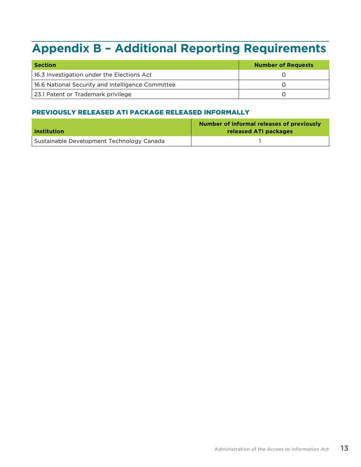## <span id="page-14-0"></span>**Appendix B – Additional Reporting Requirements**

| <b>Section</b>                                    | <b>Number of Requests</b> |
|---------------------------------------------------|---------------------------|
| 16.3 Investigation under the Elections Act        |                           |
| 16.6 National Security and Intelligence Committee |                           |
| 23.1 Patent or Trademark privilege                |                           |

### PREVIOUSLY RELEASED ATI PACKAGE RELEASED INFORMALLY

| <b>Institution</b>                        | Number of informal releases of previously<br>released ATI packages |  |  |
|-------------------------------------------|--------------------------------------------------------------------|--|--|
| Sustainable Development Technology Canada |                                                                    |  |  |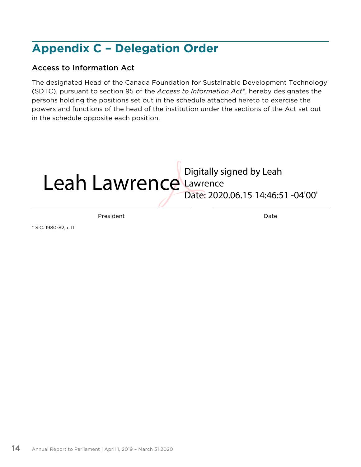## <span id="page-15-0"></span>**Appendix C – Delegation Order**

## Access to Information Act

The designated Head of the Canada Foundation for Sustainable Development Technology (SDTC), pursuant to section 95 of the *Access to Information Act*\*, hereby designates the persons holding the positions set out in the schedule attached hereto to exercise the powers and functions of the head of the institution under the sections of the Act set out in the schedule opposite each position.



President Date

\* S.C. 1980-82, c.111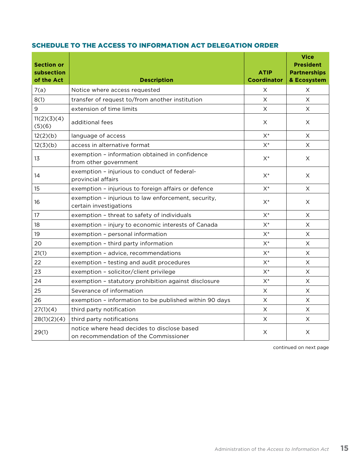## SCHEDULE TO THE ACCESS TO INFORMATION ACT DELEGATION ORDER

| <b>Section or</b><br>subsection<br>of the Act | <b>Description</b>                                                                   | <b>ATIP</b><br><b>Coordinator</b> | <b>Vice</b><br><b>President</b><br><b>Partnerships</b><br>& Ecosystem |
|-----------------------------------------------|--------------------------------------------------------------------------------------|-----------------------------------|-----------------------------------------------------------------------|
| 7(a)                                          | Notice where access requested                                                        | X                                 | X.                                                                    |
| 8(1)                                          | transfer of request to/from another institution                                      | X                                 | X                                                                     |
| 9                                             | extension of time limits                                                             | X                                 | $\times$                                                              |
| 11(2)(3)(4)<br>(5)(6)                         | additional fees                                                                      | Χ                                 | X                                                                     |
| 12(2)(b)                                      | language of access                                                                   | $X^*$                             | X                                                                     |
| 12(3)(b)                                      | access in alternative format                                                         | $X^*$                             | X                                                                     |
| 13                                            | exemption - information obtained in confidence<br>from other government              | $X^*$                             | X.                                                                    |
| 14                                            | exemption - injurious to conduct of federal-<br>provincial affairs                   | $X^*$                             | $\times$                                                              |
| 15                                            | exemption - injurious to foreign affairs or defence                                  | $X^*$                             | X                                                                     |
| 16                                            | exemption - injurious to law enforcement, security,<br>certain investigations        | $X^*$                             | X                                                                     |
| 17                                            | exemption - threat to safety of individuals                                          | $X^*$                             | X.                                                                    |
| 18                                            | exemption - injury to economic interests of Canada                                   | $X^*$                             | X.                                                                    |
| 19                                            | exemption - personal information                                                     | $X^*$                             | X.                                                                    |
| 20                                            | exemption - third party information                                                  | $X^*$                             | X                                                                     |
| 21(1)                                         | exemption - advice, recommendations                                                  | $X^*$                             | X                                                                     |
| 22                                            | exemption - testing and audit procedures                                             | $X^*$                             | X.                                                                    |
| 23                                            | exemption - solicitor/client privilege                                               | $X^*$                             | X                                                                     |
| 24                                            | exemption - statutory prohibition against disclosure                                 | $X^*$                             | X                                                                     |
| 25                                            | Severance of information                                                             | X                                 | X                                                                     |
| 26                                            | exemption - information to be published within 90 days                               | X                                 | X                                                                     |
| 27(1)(4)                                      | third party notification                                                             | $\boldsymbol{\times}$             | X                                                                     |
| 28(1)(2)(4)                                   | third party notifications                                                            | $\mathsf X$                       | X                                                                     |
| 29(1)                                         | notice where head decides to disclose based<br>on recommendation of the Commissioner | X                                 | X                                                                     |

continued on next page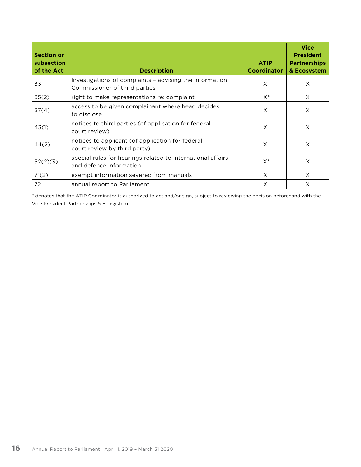| <b>Section or</b><br>subsection<br>of the Act | <b>Description</b>                                                                       | <b>ATIP</b><br><b>Coordinator</b> | <b>Vice</b><br><b>President</b><br><b>Partnerships</b><br>& Ecosystem |
|-----------------------------------------------|------------------------------------------------------------------------------------------|-----------------------------------|-----------------------------------------------------------------------|
| 33                                            | Investigations of complaints - advising the Information<br>Commissioner of third parties | X                                 | X                                                                     |
| 35(2)                                         | right to make representations re: complaint                                              | $X^*$                             | X                                                                     |
| 37(4)                                         | access to be given complainant where head decides<br>to disclose                         | X                                 | X                                                                     |
| 43(1)                                         | notices to third parties (of application for federal<br>court review)                    | $\times$                          | X                                                                     |
| 44(2)                                         | notices to applicant (of application for federal<br>court review by third party)         | X                                 | X                                                                     |
| 52(2)(3)                                      | special rules for hearings related to international affairs<br>and defence information   | $X^*$                             | X                                                                     |
| 71(2)                                         | exempt information severed from manuals                                                  | X                                 | $\times$                                                              |
| 72                                            | annual report to Parliament                                                              | X                                 | X                                                                     |

\* denotes that the ATIP Coordinator is authorized to act and/or sign, subject to reviewing the decision beforehand with the Vice President Partnerships & Ecosystem.